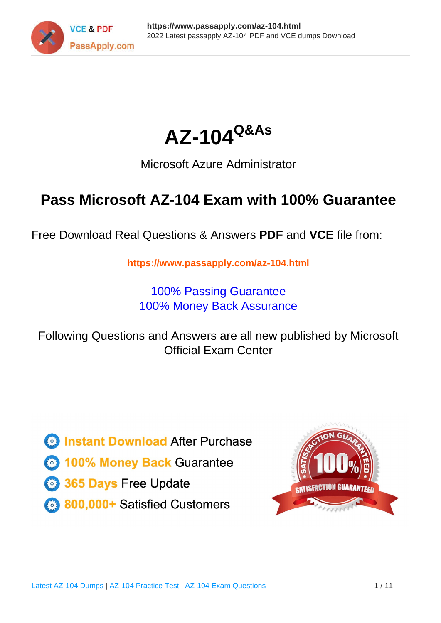



## Microsoft Azure Administrator

# **Pass Microsoft AZ-104 Exam with 100% Guarantee**

Free Download Real Questions & Answers **PDF** and **VCE** file from:

**https://www.passapply.com/az-104.html**

100% Passing Guarantee 100% Money Back Assurance

Following Questions and Answers are all new published by Microsoft Official Exam Center

**C** Instant Download After Purchase

**83 100% Money Back Guarantee** 

365 Days Free Update

800,000+ Satisfied Customers

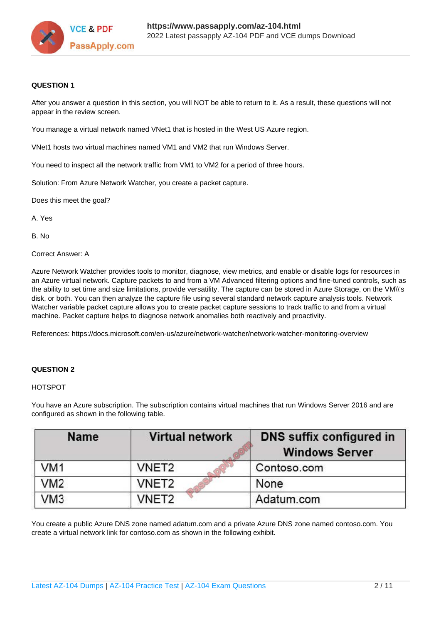

### **QUESTION 1**

After you answer a question in this section, you will NOT be able to return to it. As a result, these questions will not appear in the review screen.

You manage a virtual network named VNet1 that is hosted in the West US Azure region.

VNet1 hosts two virtual machines named VM1 and VM2 that run Windows Server.

You need to inspect all the network traffic from VM1 to VM2 for a period of three hours.

Solution: From Azure Network Watcher, you create a packet capture.

Does this meet the goal?

A. Yes

B. No

Correct Answer: A

Azure Network Watcher provides tools to monitor, diagnose, view metrics, and enable or disable logs for resources in an Azure virtual network. Capture packets to and from a VM Advanced filtering options and fine-tuned controls, such as the ability to set time and size limitations, provide versatility. The capture can be stored in Azure Storage, on the VM\\'s disk, or both. You can then analyze the capture file using several standard network capture analysis tools. Network Watcher variable packet capture allows you to create packet capture sessions to track traffic to and from a virtual machine. Packet capture helps to diagnose network anomalies both reactively and proactivity.

References: https://docs.microsoft.com/en-us/azure/network-watcher/network-watcher-monitoring-overview

### **QUESTION 2**

HOTSPOT

| <b>Name</b>     | <b>Virtual network</b> | <b>DNS suffix configured in</b><br><b>Windows Server</b> |
|-----------------|------------------------|----------------------------------------------------------|
| VM <sub>1</sub> | VNET <sub>2</sub>      | Contoso.com                                              |
| VM <sub>2</sub> | VNET2                  | None                                                     |
| VM <sub>3</sub> | VNET <sub>2</sub>      | Adatum.com                                               |

You have an Azure subscription. The subscription contains virtual machines that run Windows Server 2016 and are configured as shown in the following table.

You create a public Azure DNS zone named adatum.com and a private Azure DNS zone named contoso.com. You create a virtual network link for contoso.com as shown in the following exhibit.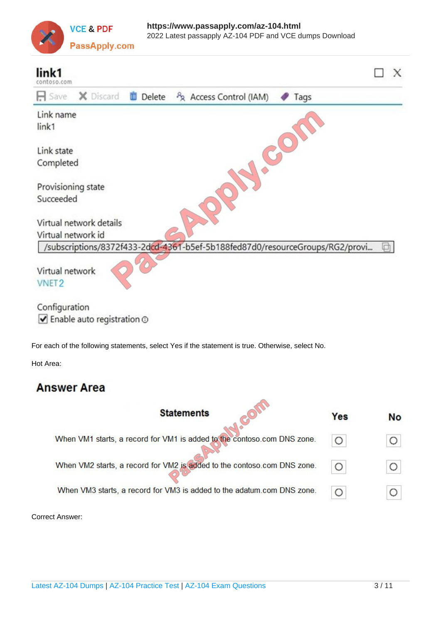

| X Discard<br>$\Box$ Save<br><b>Delete</b><br>A Access Control (IAM)<br>Tags<br>Link name<br>link1<br>3<br>Link state<br>Completed<br>Provisioning state<br>Succeeded<br>Virtual network details<br>Virtual network id<br>/subscriptions/8372f433-2dcd-4361-b5ef-5b188fed87d0/resourceGroups/RG2/provi<br>Virtual network |  | link1<br>contoso.com |
|--------------------------------------------------------------------------------------------------------------------------------------------------------------------------------------------------------------------------------------------------------------------------------------------------------------------------|--|----------------------|
|                                                                                                                                                                                                                                                                                                                          |  |                      |
|                                                                                                                                                                                                                                                                                                                          |  |                      |
|                                                                                                                                                                                                                                                                                                                          |  |                      |
|                                                                                                                                                                                                                                                                                                                          |  |                      |
|                                                                                                                                                                                                                                                                                                                          |  |                      |
|                                                                                                                                                                                                                                                                                                                          |  |                      |
|                                                                                                                                                                                                                                                                                                                          |  |                      |
|                                                                                                                                                                                                                                                                                                                          |  |                      |
|                                                                                                                                                                                                                                                                                                                          |  |                      |
|                                                                                                                                                                                                                                                                                                                          |  | <b>VNET2</b>         |
| Configuration                                                                                                                                                                                                                                                                                                            |  |                      |
| $\blacktriangleright$ Enable auto registration $\odot$                                                                                                                                                                                                                                                                   |  |                      |
| For each of the following statements, select Yes if the statement is true. Otherwise, select No.                                                                                                                                                                                                                         |  |                      |

Hot Area:

## **Answer Area**

| <b>Statements</b>                                                       | Yes | <b>No</b> |
|-------------------------------------------------------------------------|-----|-----------|
| When VM1 starts, a record for VM1 is added to the contoso.com DNS zone. |     |           |
| When VM2 starts, a record for VM2 is added to the contoso.com DNS zone. |     |           |
| When VM3 starts, a record for VM3 is added to the adatum.com DNS zone.  |     |           |

Correct Answer: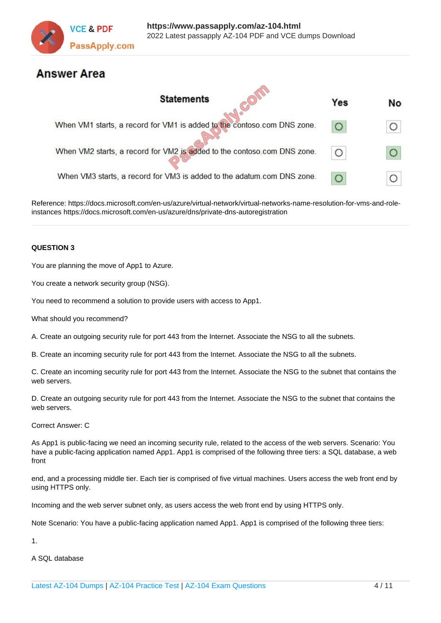

### **Answer Area**

| <b>Statements</b>                                                       | Yes | <b>No</b> |
|-------------------------------------------------------------------------|-----|-----------|
| When VM1 starts, a record for VM1 is added to the contoso.com DNS zone. |     |           |
| When VM2 starts, a record for VM2 is added to the contoso.com DNS zone. |     |           |
| When VM3 starts, a record for VM3 is added to the adatum.com DNS zone.  |     |           |

Reference: https://docs.microsoft.com/en-us/azure/virtual-network/virtual-networks-name-resolution-for-vms-and-roleinstances https://docs.microsoft.com/en-us/azure/dns/private-dns-autoregistration

### **QUESTION 3**

You are planning the move of App1 to Azure.

You create a network security group (NSG).

You need to recommend a solution to provide users with access to App1.

What should you recommend?

A. Create an outgoing security rule for port 443 from the Internet. Associate the NSG to all the subnets.

B. Create an incoming security rule for port 443 from the Internet. Associate the NSG to all the subnets.

C. Create an incoming security rule for port 443 from the Internet. Associate the NSG to the subnet that contains the web servers.

D. Create an outgoing security rule for port 443 from the Internet. Associate the NSG to the subnet that contains the web servers.

Correct Answer: C

As App1 is public-facing we need an incoming security rule, related to the access of the web servers. Scenario: You have a public-facing application named App1. App1 is comprised of the following three tiers: a SQL database, a web front

end, and a processing middle tier. Each tier is comprised of five virtual machines. Users access the web front end by using HTTPS only.

Incoming and the web server subnet only, as users access the web front end by using HTTPS only.

Note Scenario: You have a public-facing application named App1. App1 is comprised of the following three tiers:

1.

A SQL database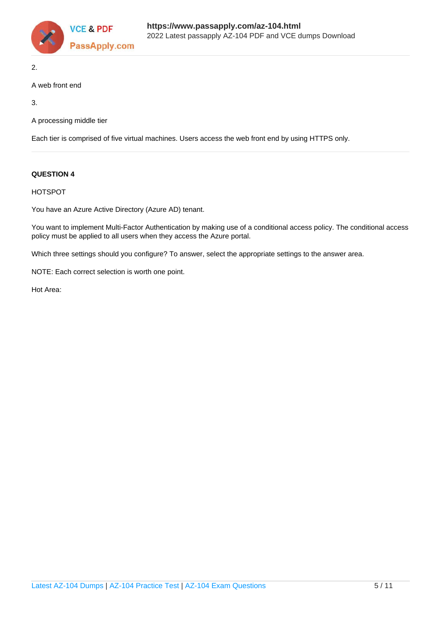

2.

### A web front end

3.

A processing middle tier

Each tier is comprised of five virtual machines. Users access the web front end by using HTTPS only.

### **QUESTION 4**

HOTSPOT

You have an Azure Active Directory (Azure AD) tenant.

You want to implement Multi-Factor Authentication by making use of a conditional access policy. The conditional access policy must be applied to all users when they access the Azure portal.

Which three settings should you configure? To answer, select the appropriate settings to the answer area.

NOTE: Each correct selection is worth one point.

Hot Area: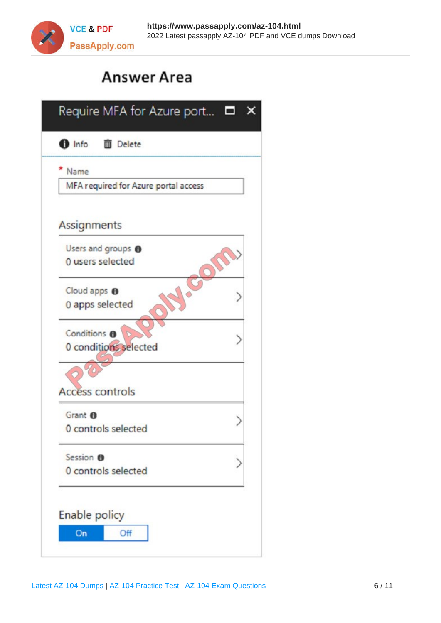

# **Answer Area**

| Name                                 |  |
|--------------------------------------|--|
| MFA required for Azure portal access |  |
| Assignments                          |  |
| Users and groups <sup>8</sup>        |  |
| 0 users selected                     |  |
| Cloud apps <sup>O</sup>              |  |
| 0 apps selected                      |  |
| Conditions <sup>®</sup>              |  |
| 0 conditions selected                |  |
|                                      |  |
| <b>Access controls</b>               |  |
| Grant <sup>6</sup>                   |  |
| 0 controls selected                  |  |
|                                      |  |
| Session <b>O</b>                     |  |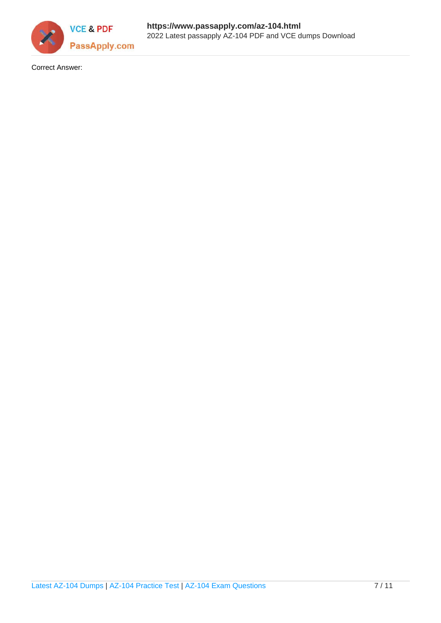

Correct Answer: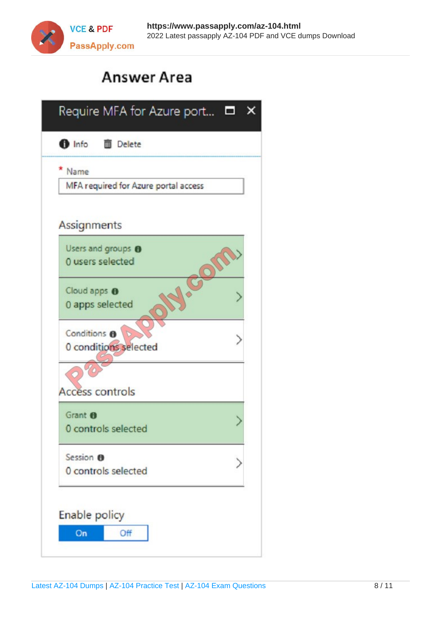

# **Answer Area**

| Name                                 |  |
|--------------------------------------|--|
|                                      |  |
| MFA required for Azure portal access |  |
| Assignments                          |  |
| Users and groups <sup>0</sup>        |  |
| 0 users selected                     |  |
| Cloud apps <sup>O</sup>              |  |
| 0 apps selected                      |  |
| Conditions <sup>6</sup><br>$\sigma$  |  |
| 0 conditions selected                |  |
|                                      |  |
| <b>Access controls</b>               |  |
|                                      |  |
| Grant <sup>O</sup>                   |  |
| 0 controls selected                  |  |
| Session <b>O</b>                     |  |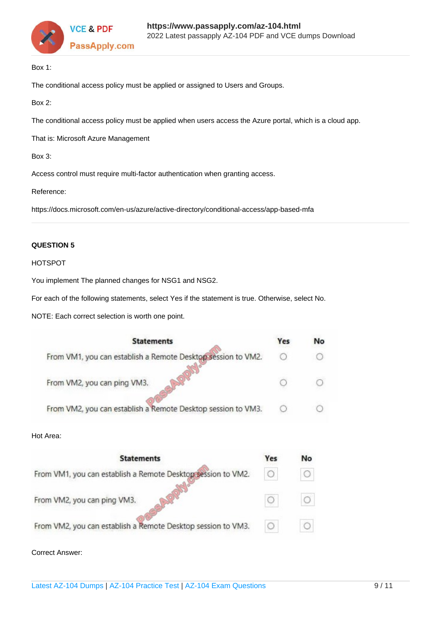

Box 1:

The conditional access policy must be applied or assigned to Users and Groups.

Box 2:

The conditional access policy must be applied when users access the Azure portal, which is a cloud app.

That is: Microsoft Azure Management

Box 3:

Access control must require multi-factor authentication when granting access.

Reference:

https://docs.microsoft.com/en-us/azure/active-directory/conditional-access/app-based-mfa

### **QUESTION 5**

### HOTSPOT

You implement The planned changes for NSG1 and NSG2.

For each of the following statements, select Yes if the statement is true. Otherwise, select No.

NOTE: Each correct selection is worth one point.

| <b>Statements</b>                                            | Yes | No |
|--------------------------------------------------------------|-----|----|
| From VM1, you can establish a Remote Desktop session to VM2. |     |    |
| From VM2, you can ping VM3.                                  |     |    |
| From VM2, you can establish a Remote Desktop session to VM3. |     |    |

#### Hot Area:

| <b>Statements</b>                                            |                        | No |
|--------------------------------------------------------------|------------------------|----|
| From VM1, you can establish a Remote Desktop session to VM2. | $\left( \cdot \right)$ | O  |
| From VM2, you can ping VM3.                                  |                        |    |
| From VM2, you can establish a Remote Desktop session to VM3. |                        |    |

Correct Answer: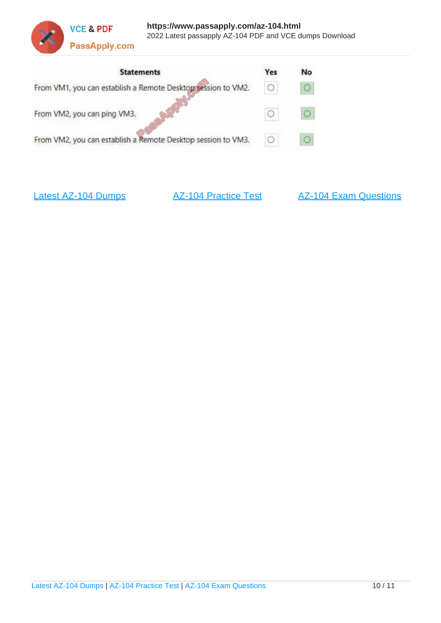



[Latest AZ-104 Dumps](https://www.passapply.com/az-104.html) **[AZ-104 Practice Test](https://www.passapply.com/az-104.html)** [AZ-104 Exam Questions](https://www.passapply.com/az-104.html)